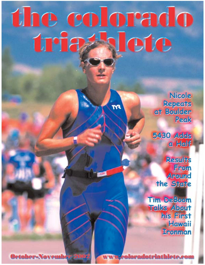# the colorado Iete tria

Ñ۹

Nicole Repeats<br>at Boulder Peak

5430 Adds a Half

**Results** From Around the State

Tim DeBoom Talks About his First Hawaii **Tronman** 

**October-November 200** 

www.coloradotriathlete.com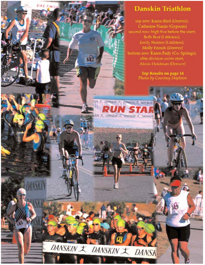

top row: Karen Bird (Denver), Catherine Nanin (Gypsum) second row: high five before the start; Beth Best (Littleton), Emily Hutson (Littleton), Molly French (Denver) bottom row: Karen Fady (Co. Springs), elite division swim start, Alexis Holdman (Denver)

> Top Results on page 14 Photos by Courtney Stapleton



GO

882

KIN J. DANSKIN J. DANSKIN J. DANSKIN

SKIN X UANSKIN X IMNSKIN X DANSKIN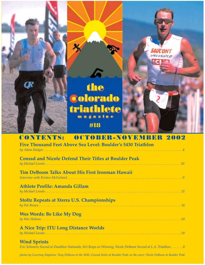

## **CONTENTS: OCTOBER-NOVEMBER 2002**

| <b>Five Thousand Feet Above Sea Level: Boulder's 5430 Triathlon</b> |
|---------------------------------------------------------------------|
| <b>Conrad and Nicole Defend Their Titles at Boulder Peak</b>        |
| <b>Tim DeBoom Talks About His First Ironman Hawaii</b>              |
| Athlete Profile: Amanda Gillam                                      |
| <b>Stoltz Repeats at Xterra U.S. Championships</b>                  |
| <b>Wes Words: Be Like My Dog</b>                                    |
| <b>A Nice Trip: ITU Long Distance Worlds</b>                        |
| <b>Wind Sprints</b>                                                 |

*Eric Schwartz Second at Duathlon Nationals; Siri Keeps on Winning; Nicole DeBoom Second at L.A. Triathlon; . . . . . . .8*

*photos by Courtney Stapleton: Tony DeBoom at the 5430, Conrad Stoltz at Boulder Peak; on the cover: Nicole DeBoom at Boulder Peak*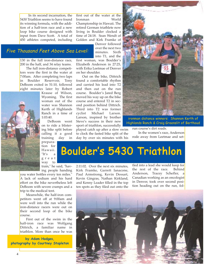In its second incarnation, the 5430 Triathlon seems to have found its winning formula, with the addition of a half-iron race and a new loop bike course designed with input from Dave Scott. A total of 450 athletes competed, including first out of the water at the Ironman World Championship in Hawaii. The retired German triathlete now living in Boulder clocked a time of 24:18. Sean Wendt of Golden and Kirk Framke of

> Denver followed over the next two minutes. Sixth into T1, and the

130 in the full iron-distance race, Five Thousand Feet Above Sea Level:

> 200 in the half, and 34 relay teams. The full iron-distance competitors were the first in the water at 7:00am. After completing two laps in Boulder Reservoir, Tony DeBoom exited in 51:10, followed eight minutes later by Robert



Krause of Wilson, Wyoming. The first woman out of the water was Shannon Kerth of Highlands Ranch in a time of 1:03:40.

DeBoom went on to ride a blistering bike split before calling it a good training day in

preparation for Hawaii. "It's  $a$ great way to

train," he said, "having people handing

you water bottles every ten miles." A lack of sodium and his hard effort on the bike nevertheless left DeBoom with severe cramps and a trip to the medical tent.

Meanwhile, the half-iron competitors went off at 9:00am and were well into the run while the iron-distance racers were out on their second loop of the bike course.

First out of the swim in the half-iron race was Wolfgang Dittrich, a familiar name in triathlon. More than once he was

**by Adam Hodges, photography by Courtney Stapleton** first woman, was Boulder's Elizabeth Anderson in 27:25, with Erika Leetmae of Denver on her shoulder.

Out on the bike, Dittrich found a comfortable rhythm and carried his lead into T2 and then out on the run course. Boulder's Jared Berg moved his way up on the bike course and entered T2 in second position behind Dittrich. Third into T2 was former cyclist Michael Larson. Larson, inspired by brother Steve's success in their new sport of triathlon, successfully

played catch up after a slow swim to clock the fasted bike split of the day by over six minutes with his



ironman distance winners: Shannon Kerth of Highlands Ranch & Craig Greenslit of Berthoud

run course's dirt roads.

In the women's race, Anderson rode away from Leetmae and set-

# Boulder 's 5430 Triathlon

2:11:02. Over the next six minutes, Kirk Framke, Garrett Ianacone, Paul Armstrong, Kevin Dessart, Kevin Gingras, Nathan Kirkland, and Kenny Leader filled in the top ten spots as they filed out onto the tled into a lead she would keep for the rest of the race. Behind Anderson, Tracey Schefler, a Canadian working as an oncologist in Denver, took over second position heading out on the run, fol-

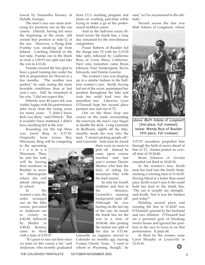lowed by Samantha Kenney of Duluth, Georgia.

The men's race saw more jockeying for positions out on the run course. Dittrich, having led since the beginning of the swim, still owned that position at mile-12 of the run. However, a flying Kirk Framke was sneaking up from behind. Catching Dittrich in the last mile, Framke ran to the finish to clock a 1:20:15 run split and take the win in 4:11:26.

Framke crossed the line glad to have a good training day under his belt in preparation for Hawaii in a few months. "The weather was perfect," he said, noting the more bearable conditions than at last year's race. Still, he remarked of his win, "I did not expect this."

Dittrich, now 40 years old, was visibly happy with his performance after away from the racing scene for many years. "I didn't know Kirk was there," said Dittrich. "But it wouldn't have mattered, I didn't have anything left at the end."

Rounding out the top three was Jared Berg in 4:17:18. Originally from Green Bay, Wisconsin, Berg will be competing

in the upcoming Ironman Wisconsin. Then, he and his wife will be leaving their residence in Boulder to move to Minneapolis where she will attend chiropractic school.

In the women's race, the order arranged out on the bike course prevailed as Anderson ran to victory in 4:42:40, followed by Shefler in 4:48:42. Kenney came in third with a time of 4:55:07.

"It's great to race out here since we train on this course a lot," said Anderson, who recently graduated from CU's teaching program and plans on working part-time while trying to make a go at her professional triathlon career.

And as the half-iron racers filtered across the finish line, a long day remained for the iron-distance competitors.

Fraser Roberts of Boulder led the charge into T2 with his 5:15:29 bike split, followed by Guillermo Boza of Costa Mesa, California. Next into transition came Brian Johnson, Paul Vanderspeck, Kevin Edwards, and Dennis Gournic.

The women's race was shaping up in a similar fashion to the halfiron women's race. Kerth, having led out of the swim, maintained her position throughout the bike and took her solid lead into the marathon run. Likewise, Lynn O'Donnell kept her second place position into and out of T2.

Out on the three loop run course on the roads surrounding the reservoir, the men's race began to shuffle the deck. Craig Greenslit of Berthoud, eighth off the bike, steadily made his way into the lead. "I started picking people off," said Greenslit. And soon he found

> there were no more to pick off. Instead he came upon course marshal and last year's winner Dennis Meeker who had the duty of riding his mountain bike with the lead runner.

> In only his fourth triathlon and first at the distance, Greenslit's running background paid off. Although he was hurting on the last lap of the run, he found the finish line for the win in a time of 10:04:46, also posting the fastest run split of the day in 3:21:46.

Greenslit, an engineer, moved to Colorado six months ago, leaving Corpus Christi, Texas. "I went to school in Wyoming, though," he said, "so I'm accustomed to the altitude."

Second across the line was Matt Adams of Longmont, whose



(2nd place, full ironman); below: Wendy Rein of Boulder (4th place, full ironman)

3:37:07 marathon propelled him through the field of racers ahead of him in T2. Adams posted an overall time of 10:34:40.

Brian Johnson of Arvada rounded out third in 10:42:36.

In the women's race, Kerth took her lead into the finish chute, clocking a winning time of 11:16:05. Having biked at a faster than usual pace, Kerth wasn't sure if she could hold her lead to the finish line. "The run is usually my strength," said Kerth, "but it was the hardest part today!"

Holding second place and crossing the line in 11:24:47 was O'Donnell, greeted by her husband and two children. O'Donnell had set a personal goal of breaking twelve hours and ignored her position in the race to focus in on that performance. It paid off.

In third for the women came Carol Murphy of Louisville in 12:16:41.

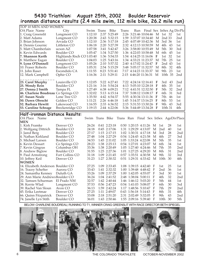#### 5430 Triathlon: August 25th, 2002 Boulder Reservoir ironman distance results (2.4 mile swim, 112 mile bike, 26.2 mile run)

| <b>TOP 10 MEN AND WOMEN</b>                            |                              |                |            |                              |              |                                              |                                |        |                 |          |                 |
|--------------------------------------------------------|------------------------------|----------------|------------|------------------------------|--------------|----------------------------------------------|--------------------------------|--------|-----------------|----------|-----------------|
| OA Place Name                                          | City                         | Swim           | Trans      | Bike                         | <b>Trans</b> |                                              | Run Final Sex InSex Ag DivPlc  |        |                 |          |                 |
| 1. Craig Greenslit                                     | Longmont CO                  | 1:12:10        |            | 2:37 5:25:49                 |              |                                              | 2:26 3:21:46 10:04:46 M 1st 32 |        |                 |          | 1st             |
| 2. Matt Adams                                          | Longmont CO                  | 1:20:38        |            | 2:43 5:32:15                 |              |                                              | 1:59 3:37:07 10:34:40          | M      | 2nd 33          |          | 2nd             |
| 3. Brian Johnson                                       | Arvada CO                    | 1:12:10        |            | 2:36 5:17:18                 |              |                                              | 2:45 4:07:49 10:42:36          | М      | 3rd 36          |          | 1st             |
| l4. Dennis Gournic                                     | Littleton CO                 | 1:06:18        |            | 2:20 5:27:39                 |              |                                              | 2:32 4:12:13 10:50:59          | М      | 4th             | 43       | 1st             |
| 5. Matt Chamberlain                                    | ucson AZ                     | 1:07:58        |            | 3:41 5:42:47                 |              |                                              | 3:26 3:58:00 10:55:49          | M      | 5th             | 30       | 3rd             |
| 6. Kevin Edwards                                       | Boulder CO                   | 1:05:47        |            | 1:34 5:27:50                 |              |                                              | 1:36 4:22:03 10:58:48          | M      | 6th             | 45       | 1st             |
| 7. Shannon Kerth                                       | Highlands Rnch CO 1:03:40    |                |            | 1:36 5:54:33                 |              |                                              | 1:54 4:14:25 11:16:06          | F      | 1st             | 32       | 1st             |
| 8. Matthew Eagan                                       | Boulder CO                   | 1:04:03        |            | 1:25 5:43:16                 |              |                                              | 1:34 4:33:21 11:23:37          | M      | 7th             | 25       | 1st             |
| 9. Lynn O'Donnell                                      | Longmont CO                  | 1:05:26        |            | 2:10 5:57:32                 |              |                                              | 2:40 4:17:02 11:24:47 F        |        | 2nd 43          |          | 1st             |
| 10. Fraser Roberts                                     | Boulder CO                   | 1:05:31        |            | 2:54 5:15:29                 |              |                                              | 3:48 5:05:17 11:32:57          | M      | 8th             | 32       | 4th             |
| 11. John Raser                                         | Escondido CA                 | 1:11:55        |            | 8:23 5:51:41                 |              |                                              | 7:17 4:14:23 11:33:37          | M      | 9th             | 23       | 1st             |
| 12. Mark Campbell                                      | Ophir CO                     | 1:16:36        |            | 2:11 5:29:11                 |              |                                              | 2:15 4:46:20 11:36:31          | M      | 10th 35         |          | 2 <sub>nd</sub> |
|                                                        |                              |                |            |                              |              |                                              |                                |        |                 |          |                 |
| 23. Carol Murphy                                       | Louisville CO                | 1:12:05        |            | 5:22 6:27:41                 |              |                                              | 7:22 4:24:14 12:16:41          | -F     | 3rd             | 43       | 2nd             |
| 25. Wendy Rein                                         | Boulder CO                   | 1:21:16        |            | 3:16 5:54:24                 |              |                                              | 4:13 5:05:10 12:28:18          | -F     | 4th             | 35       | 1st             |
| 27. Donna J Smith                                      | Tampa FL                     | 1:27:49        |            | 6:38 6:09:21                 |              |                                              | 7:12 4:41:51 12:32:50          | F      | 5th             | 32       | 2 <sub>nd</sub> |
| 46. Charlene Boudreau Co Springs CO                    |                              | 1:32:02        |            | 5:13 6:15:14                 |              |                                              | 7:37 5:08:12 13:08:17 F        |        | 6th             | 31       | 3rd             |
| 47. Susan Neale                                        | Lone Tree CO                 | 1:35:50        |            | 4:42 6:54:37                 |              |                                              | 5:55 4:30:34 13:11:36          | - F    | 7th             | 46       | 1st             |
| 50. Dawn Obrecht                                       | Golden CO                    | 1:11:21        |            | 2:26 6:46:18                 |              |                                              | 1:45 5:14:37 13:16:25          | - F    | 8th             | 53       | 1st             |
| 52. Barbara Hewitt                                     | Lakewood CO                  | 1:16:55        |            | 2:33 6:36:52                 |              |                                              | 2:15 5:31:53 13:30:26          | - F    | 9th 43          |          | 3rd             |
| 53. Caroline Schrage                                   | Breckenridge CO              | 1:19:15        |            | 2:44 6:22:06                 |              |                                              | 5:36 5:44:49 13:34:28 F        |        | 10th 31         |          | 4th             |
|                                                        |                              |                |            |                              |              |                                              |                                |        |                 |          |                 |
|                                                        |                              |                |            |                              |              |                                              |                                |        |                 |          |                 |
| Half-ironman Distance Results:                         |                              |                |            |                              |              |                                              |                                |        |                 |          |                 |
| OA Place<br>Name                                       | town                         | Swim           | Trans Bike |                              | Trans Run    |                                              | Final Sex InSex AgeDivPlace    |        |                 |          |                 |
| <b>MEN</b>                                             |                              |                |            |                              |              |                                              |                                |        |                 |          |                 |
| 1. Kirk Framke                                         | Denver CO                    | 26:24          |            | 0:41 2:23:18                 |              | $0:50$ 1:20:15 4:11:26                       |                                | M      | 1st             | 28       | 1st             |
| 2. Wolfgang Dittrich                                   | Boulder CO                   | 24:18          |            | $0:45$ 2:17:06               |              | 1:31 1:29:29 4:13:07                         |                                | M      | 2 <sub>nd</sub> | 40       | 1st             |
| 3. Jared Berg                                          | Boulder CO                   | 27:17          |            | 1:15 2:17:15                 |              | 1:02 1:30:31 4:17:18                         |                                | M      | 3rd             | 28       | 2nd             |
| 4. Nathan Kirkland                                     | Boulder CO                   | 27:48          |            | 1:04 2:27:29                 |              | $0:54$ 1:24:45 4:21:58                       |                                | M      | 4th             | 27       | 3rd             |
| 5. Michael Larsen                                      | Boulder CO                   | 34:53          |            | 1:45 2:11:02                 |              | 1:05 1:33:24 4:22:08                         |                                | M<br>М | 5th<br>6th      | 35       | 1st             |
| 6. Kevin Dessart                                       | Co Springs CO<br>Columbus OH | 28:23          |            | 1:38 2:25:13                 |              | 0:54 1:27:01 4:23:07                         |                                | М      |                 | 34       | 1st<br>2nd      |
| 7. Kevin Gingras                                       |                              | 33:36          |            | 1:38 2:20:49                 |              | 1:05 1:27:40 4:24:46                         |                                | М      | 7th             | 35       |                 |
| 8. Andrew Biglow                                       | Boulder CO                   | 31:55          |            | 1:25 2:27:36                 |              | 1:01 1:27:25 4:29:20                         |                                | M      | 8th<br>9th      | 31       | 2nd             |
| 9. Paul Armstrong                                      | Fort Collins CO              | 31:18          |            | 1:09 2:21:45                 |              | 0:57 1:35:51 4:30:58                         |                                | M      |                 | 32<br>30 | 3rd             |
| 10. Jeffrey Keil<br><b>WOMEN</b>                       | Denver CO                    | 31:23          |            | 1:27 2:30:32                 |              | 0:51 1:29:31 4:33:42                         |                                |        | 10th            |          | 4th             |
| 14. Elizabeth Anderson Boulder CO                      |                              | 27:25          |            | 1:09 2:33:45                 |              | 1:08 1:39:15 4:42:40                         |                                | F      | 1st             | 25       | 1st             |
| 16. Tracey Schefter                                    | Aurora CO                    | 33:43          |            | 1:41 2:32:32                 |              | 1:00 1:39:48 4:48:42                         |                                | F      | 2nd             | 36       | 1st             |
|                                                        |                              | 33:26          |            | 1:09 2:37:29                 |              | 1:00 1:42:05 4:55:07                         |                                | F      | 3rd             | 30       | 1st             |
| 24. Samantha Kenney                                    | Duluth GA                    |                |            | 1:04 2:41:52                 |              |                                              |                                | F      | 4th             |          |                 |
| 29. Ann Marie AndrewsBoulder CO<br>32. Tamsen Schurman | El Prado NM                  | 36:24<br>32:57 |            | 1:42 2:40:44                 |              | 2:48 1:38:04 5:00:11<br>1:46 1:46:12 5:03:20 |                                | F      | 5th             | 32<br>44 | 2nd<br>1st      |
| 38. Kerrie Wlad                                        |                              | 37:53          |            | 0:56 2:47:23                 |              |                                              | 0:54 1:41:03 5:08:07 F         |        | 6th             | 30       | 3rd             |
| 39. Rachel Van Sloun                                   | Longmont CO<br>Avon CO       | 36:13          |            |                              |              |                                              | 1:17 1:48:56 5:10:47 F         |        | 7th             | 29       | 2nd             |
| 45. Erika Leetmae                                      | Denver <sub>CO</sub>         | 27:25          |            | 1:59 2:42:24<br>1:11 2:49:07 |              | 0:43 1:56:18 5:14:43                         |                                | F      | 8th             | 31       | 4th             |
| 66. Quinn Fitzpatrick                                  | Denver CO                    | 33:08          |            | 2:18 2:51:20<br>1:43 2:50:46 |              | 2:31 2:02:49 5:32:05                         |                                | - F    | 9th             | 43       | 2nd             |

BELOW: CHARLENE BOUDREAU, RUNNING TO T1, WINNER CRAIG GREENSLIT WITH RACE DIRECTOR BETH SPIEGEL

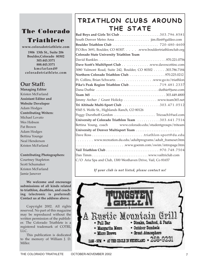## **The Colorado Triathlete**

**www.coloradotriathlete.com**

**1906 13th St., Suite 206 Boulder,Colorado 80302 303.443.3371 888.443.3371 kmcfarland@ coloradotriathlete.com**

## **Our Staff:**

**Managing Editor** Kristen McFarland **Assistant Editor and Website Developer** Adam Hodges **Contributing Writers:** Michael Lovato Wes Hobson Pat Brown Adam Hodges Bettina Younge Neal Henderson Kristen McFarland

#### **Contributing Photographers:**

Courtney Stapleton Scott Schumaker Kristen McFarland Jamie Janover

**We welcome and encourage submissions of all kinds related to triathlon, duathlon, and coaching (electronic is preferred). Contact us at the address above.** 

Copyright 2002. All rights reserved. No part of this magazine may be reproduced without the written permission of the publisher. The Colorado Triathlete is a registered trademark of COTRI, LLC.

This publication is dedicated to the memory of William J. D. Miller.

# **TRIATHLON CLUBS AROUND TRIATHLON CLUBS AROUND THE STATE THE STATE**

| Bad Boys and Girls Tri Club 303.796.8581                      |
|---------------------------------------------------------------|
|                                                               |
|                                                               |
| P.O.Box 3691, Boulder, CO 80307. www.bouldertriathlonclub.org |
| <b>Colorado State University Triathlon Team</b>               |
|                                                               |
| Dave Scott's MultiSport Club www.davescottinc.com             |
| 3080 Valmont Road, Suite 242, Boulder, CO 80302 303.786.7184  |
|                                                               |
|                                                               |
| Pike's Peak Region Triathlon Club. 719.481.2337               |
|                                                               |
|                                                               |
|                                                               |
| Tri Altitude Multi-Sport Club 303.471.0512                    |
| 9345 S. Wolfe St., Highlands Ranch, CO 80126                  |
| Peggy Dursthoff-Gordon  Tricoach1@aol.com                     |
| University of Colorado Triathlon Team 303.641.7516            |
| Bettina Young, coach www.colorado.edu/studentgroups/triteam   |
| University of Denver Multisport Team                          |
| Dave Ross triathlon-sport@du.edu                              |
| www.recreation.du.edu/adultprograms/adult_frameset.htm        |
|                                                               |
|                                                               |
|                                                               |
| C/O Aria Spa and Club, 1300 Westhaven Drive, Vail, Co 81657   |

*If your club is not listed, please contact us!*

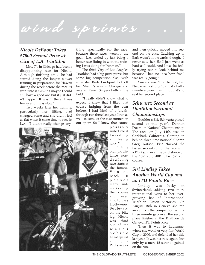# wind sprints

#### *Nicole DeBoom Takes \$7000 Second Prize at City of L.A. Triathlon*

Mrs. T's in Chicago had been a disappointing race for Nicole. Although finishing 6th , she had started doing the longer, slower training in preparation for Hawaii during the week before the race. "I went into it thinking maybe I could still have a good one but it just didn't happen. It wasn't there. I was heavy and I was slow."

Two weeks later her training, particularly her lifting, had changed some and she didn't feel as flat when it came time to race in L.A. "I didn't really change any-

thing (specifically for the race) because these races weren't 'the goal.' L.A. ended up just being a better race fitting in with the training I was doing for Ironman."

The third City of Los Angeles Triathlon had a big prize purse, but some big competition also, with superstar Barb Lindquist hot off her Mrs. T's win in Chicago and veteran Karen Smyers both in the field.

"I really didn't know what to expect. I knew that I liked that course judging from the year before. I had kind of a breakthrough run there last year. I ran as well as some of the best runners in our sport. So I knew that course

possibly suited me if I was strong and feeling

good." The olympic distance nondrafting race starts at the famous Venice Beach. It passes many landmarks along the course and even includes Hollywood Boulevard on the bike leg. Nicole was third out of the water behind Lindquist and Julie Pittsinger

and then quickly moved into second on the bike. Catching up to Barb wasn't in the cards, though. "I never saw her. So I just went as hard as I could. And I was basically trying not to look behind me because I had no idea how fast I was really going."

Smyers wasn't far behind, but Nicole ran a strong 10K just a half a minute slower than Lindquist's to seal her second place.

#### *Schwartz Second at Duathlon National Championships*

Boulder's Eric Schwartz placed second at this year's Dannon Duathlon National Championship. The race, on July 14th, was in Carlsbad, California. Coming in behind three time national Champ Greg Watson, Eric clocked the fastest second run of the race with a 17:22 split over the 5K distance on the 10K run, 40K bike, 5K run course.

### *Siri Lindley Takes Another World Cup and an ITU Points Race*

Lindley was lucky in Switzerland, adding two more international wins to her evergrowing list of International Triathlon Union victories. On August 18th in Geneva she ran away from the competition with a three minute gap over the second place finisher at the Triathlon de Geneva ITU Points Race.

Then it was to Lausanne, where she won her very first World Cup in 2000, and defended her title last year. It was her race again, but only by a mere 15 seconds gained on the run.

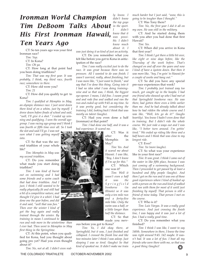# *in the sport. Tim DeBoom Talks About Tim DeBoom Talks About His First Ironman Hawaii,*  $\frac{km\omega}{p}$  *that it Ironman World Champion Ironman World Champion Ten Years Ago Ten Years Ago*

CT: So ten years ago was your first Ironman race?

*Tim: Yup.*

CT: In Kona?

*Tim: Oh ya.*

CT: How long at that point had you been doing triathlons?

*Tim: That was my first year. It was probably, I think, my third race, fourth race; somewhere in there.* 

CT: How old were you?

*Tim: 21*

CT: How did you qualify to get to Kona?

*Tim: I qualified at Memphis in May, an olympic distance race. I just went down there kind of on a whim, just by myself. I drove down before finals of school and said, "well, I'll give it a shot." I ended up winning and qualifying. I won the overall agegroup. I was racing age-group and I think I was fourth or fifth time over all. So I took*

*the slot and said I'll go. I was not sure what I was getting myself into.* 

CT: So that was the second triathlon of your whole life?

*Tim: Memphis in May was my second triathlon.* 

CT: Do you remember what made you start doing triathlon?

*Tim: I was kind of burnt out on swimming and I had some friends and a swim coach that had done triathlon. And I just, I think I still wanted to be really physically fit and still had a bit of a competitive nature, and thought I'd give it a whirl. I had done one the year before, and did it and said, "well that was fun." Then over the winter I kind of got the bug again and really trained through the winter. By training in mean I continued to*

*run and rode more in the wintertime than I ever had. Then went to Memphis in May first thing in the Springtime.* 

CT: At this point, when you qualified for Kona, had you thought about going pro yet? Had you even thought about it?

*Tim: No, not at all. I didn't even real-*

*ly know. I didn't know the top guys I didn't know that it ble. I didn't know much about it. I*

*was just doing it as kind of just an activity.* CT: Do you remember what you

felt like before you got to Kona in anticipation of the race?

*Tim: I was really excited just to do the race. It was great because there was no pressure. All I wanted to do was finish. I wasn't worried, really, about finishing, but I was more like, "I just want to finish," and say that I've done this thing. Going into it I had no idea what I was doing trainingwise and so that was, I think, the biggest eye-opener. I mean, I did fine. I swam great and and rode fine and walked and ran the run and ended up with 9:45 as my time. So it was pretty good, but considering the training I did, looking back I think that was mostly on talent (laughs).*

CT: Had you even done a half (ironman) at that point?

*Tim: I had done one half, and it was a bad experience. It scared me.* 

> CT: Was it after the Memphis in May?

*Tim: Yes. And it scared me about Hawaii. I was like, "Boy, I don't know if I'm up for this."* CT: Which

one was it? *Tim: Well it wasn't even a half it was the Springfield Ironhorse (in Illinois) so it was only a ten mile run and a forty-five mile bike. Only the swim was a half, or a little longer than half the distance.* 

CT: So that made you nerv-

ous before you got to Kona?

*Tim: Ya, I did okay there, at Springfield, but it was, I just finished and collapsed. I crossed the finish line and like two minutes later I think I was asleep. Just sleeping I was so tired. (laughs) So that kind of spooked me. It didn't make me train*

*much harder but I just said, "wow, this is going to be tougher than I thought."* 

CT: Was Tony there?

*Tim: No, the first year I did it all on my own. He was still in the military.*

CT: And he started doing them with you after you had done that first Hawaii?

*Tim: Yes.* 

CT: When did you arrive in Kona that first year?

*Tim: I think I got there a little bit over, like eight or nine days before, like the Thursday of the week before. That's changed on and off over the years and now I kind of have a system down. But then it was more like, "hey, I'm goin' to Hawaii for a couple of weeks and hang out."* 

CT: So did you have any special pre-race experiences that week?

*Tim: I probably just trained way too much, got caught up in the hoopla. I had one friend who showed up who I had met at that Springfield Ironhorse race. He was there, had gotten there even a little earlier than me. And he had already talked about how he had ridden the whole course and I was like, "Well, lets go do it!" (laughs heartily). You know I hadn't even done that in training. But I didn't ride the whole course. We just rode a ways out and I was like, "I better turn around. I'm gettin' tired." We ended up riding like three and a half hours and I think that was close to my longest ride.* 

CT: Ever?

*Tim: Ya (more laughs).*

CT: So what was your experience like in your first race?

*Tim: It was great. I think I came out of the water in like fifth place, because I was just coming off a swimming background. Then I proceeded to get passed by at least a hundred and fifty people (laughs). And then I got on the run and it was one of those good experiences where I kind of hooked up with a person on the run and kind of walked and ran with them for most of it until just finishing by myself. That person is still a friend of mine today. That person I met on the course.*

CT: Who is it?

*Tim: Luis Vargas. It was a really good experience. And just crossing the finish line, I was happy and it was just a lot of fun. I had a really good time.* 

CT: Do you remember what you finished?

*Tim: I think I was like, I want to say 140th. Somewhere in there, I know the time was right around 9:45. 142 maybe. It wasn't bad. It was a lot of fun. I beat all my friends who were there with me, so that was a good thing (laughs)!*

❂

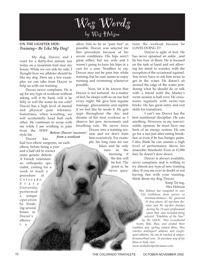

#### **ON THE LIGHTER SIDE:** *Training~ Be Like My Dog!*

My dog, Doccer, and I went for a thirty-five minute run today on a mountain trail near my house. While we ran side by side, I thought how we athletes should be like my dog. Here are a few examples we can take from Doccer to help us with our training.

Doccer never complains. He is up for any type of workout without asking will it be hard, will it be hilly or will the water be too cold? Doccer has a high level of mental and physical pain tolerance. Sometimes, when wrestling, we will accidentally head butt each other. He continues to scrap with me while I am writhing in pain from the WWF style hit. *Below: Doccer 'recovers'*

Doccer has *from a workout*

had two elbow surgeries, on each elbow, before being a year and a half old to correct some genetic defects. A French veterinarian orthopedic specialist, visiting for a week to teach a procedure at Colorado State University, performed a unique operation by breaking several bones in Doccer's elbows t o

allow him to be as "pain free" as possible. Doccer was selected for this procedure because of his severe conditions. His hips aren't great either, but my wife and I weren't going to have his hips in a cast for a year. Needless to say, Doccer may not be pain free while training, but he sure seems to enjoy running and swimming whenever possible.

Now, let it be known that Doccer is not tortured. As a matter of fact, he sleeps with us on our bed every night. We give him regular massage, glucosamine and aspirin if we feel like he needs it. He gets naps throughout the day and dreams of his next workout as I observe his paw movements and breathing rate. We never force Doccer into a training session and we don't train him excessively. For example, his long runs are our hikes and he only

runs in the morning if the day will be hot. The point is, he never ques-

tions the workout because he LOVES DOING IT!

Doccer is agile of foot. He has never sprained an ankle…and he has four of them. He is focused on the task at hand and not allowing his mind to wander, with the exception of the occasional squirrel. You never have to ask him twice to get in the water. He doesn't sit around the edge of the water pondering what he should do or talk with a friend until the Master's swim session is half over. He crosstrains regularly with swim/run bricks. He has great entry and exit skills for transitions.

I can't say Doccer has the best nutritional discipline. He eats anything. However, in my non-scientific opinion, he must have one heck of an energy system. He can go for a run just after eating breakfast or even if he has hunger pains. I also think he can sustain a high level of performance above his anaerobic threshold. Even at 11,000 feet, he doesn't slow down.

Doccer is always available, never complains and is willing to try almost any type of new training idea. If you are ever in doubt or not having fun with your training, think about my dog, Doccer.

> Keep Tri-ing, Wes Hobson

*Wes Hobson has competed in over 220 triathlons, from sprint- to Ironman-distance. He garnered 35 first places, 60 top-three finishes and 96 top-five finishes during his 12-year professional career that also included being selected "Triathlete of the Year" by the USOC. Wes co-authored*

*Swim, Bike, Run, and created three triathlon and cycling related films. Wes coaches multisport athletes and singlesport athletes. He can be reached at whperformance@aol.com. To purchase any of his films or book, visit* 

*www.weshobsonperformance.com.*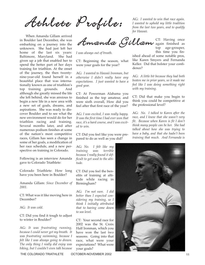Athlete Profile:

When Amanda Gillam arrived in Boulder last December, she was embarking on a journey into the unknown. She had just left her home of the last six years: Baltimore, Maryland. She had given up a job that enabled her to spend the better part of her days training for triathlon. At the onset of the journey, the then twentynine-year-old found herself in a beautiful place that was internationally known as one of triathlon's top training grounds. And although she greatly missed the life she left behind, she was anxious to begin a new life in a new area with a new set of goals, dreams, and aspirations. She was ready to discover Boulder and to see what the new environment would do for her triathlon racing and training. Several months later, and after numerous podium finishes at some of the nation's most competitive races, Gillam has seen a change in some of her goals, a modification of her race schedule, and a new perspective on training in Colorado.

Following is an interview Amanda gave to Colorado Triathlete:

Colorado Triathlete: How long have you been here in Boulder?

Amanda Gillam: *Since December of 2001.*

CT: What was it like moving here in December?

AG: *It was cold.*

CT: Did you find it tough to adjust to winter in Boulder?

AG: *It was frustrating running, because I could never get my breath. It was frustrating swimming, because I felt like I was always going to drown. The only thing I really did enjoy was biking, but I couldn't even talk because*

*I was always out of breath.*

CT: Beginning the season, what were your goals for the year?

AG: *I wanted to Hawaii Ironman, but otherwise I didn't really have any expectations. I just wanted to have a good year.* 

CT: At Powerman Alabama you finished as the top amateur, and were sixth overall, How did you feel after that first race of the year?

AG: *I was excited, I was really happy. It was the first time I had ever won that race, it's a hard course, and I was excited to win.*

CT: Did you feel like you were prepared to do as well as you did?

AG: *No. I felt like my training was terrible because I really found it difficult to get used to the altitude.*

CT: Did you feel the benefits of training at altitude while racing in Birmingham?

AG: *I'm not sure. I did better than I expected considering my training, so I think I initially attributed that to having come down to sea level.*

CT: Your second race for 2002 was the St. Croix Half Ironman, which you have won the last two seasons. Going into that race, what were your expectations? What were your goals?

AG: *I wanted to win that race again. I wanted to uphold my little tradition from the last two years, and to qualify for Hawaii.*

this time you fin-

CT: Having once again finished as top age-grouper, Amanda Gillam

ished ahead of some notable pros, like Karen Smyers and Fernanda Keller. Did that bolster your confidence?

> AG: *A little bit because they had both beaten me in prior years, so it made me feel like I was doing something right with my training.*

> CT: Did that make you begin to think you could be competitive at the professional level?

> AG: *No. I talked to Karen after the race, and I knew that she wasn't very fit. Because when Karen is fit I don't think many people can be her. She had talked about how she was trying to have a baby, and that she hadn't been training that much. And Fernanda is*

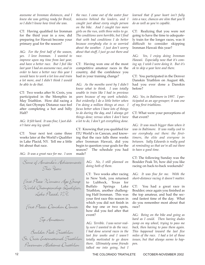*awesome at Ironman distances, and I knew she was getting ready for Brazil, so I didn't know how tired she was.*

CT: Having qualified for Ironman for the third year in a row, did preparing for Hawaii become your primary goal for the season?

AG: *For the first half of the season, yes. I love Ironman. I wanted to improve upon my time from last year, and have a better race. But I feel like last year I had an awesome race, and in order to have a better race this year I would have to work a lot less and train a lot more, and I didn't think I would be able to do that.* 

CT: Two weeks after St. Croix, you participated in the Memphis in May Triathlon. How did racing a flat, fast Olympic Distance race feel after completing a hot and hilly Half?

AG: *It felt hard. It was fine; I just didn't have any leg speed.* 

CT: Your next test came three weeks later at the World's Qualifier in Lake Placid, NY. Tell me a little bit about that race.

AG: *It was a great race for me. I won*

| Some of Amanda's Achievements<br>This Year:                                         |
|-------------------------------------------------------------------------------------|
| First Place Noman: Age Group<br>Norld Championship Qualifier,<br>Lake Placíd, N. 4. |
| First Place: Danskin Denver                                                         |
| Top Amateur:                                                                        |
| $\Omega$ as $\Omega$ a $\Omega$                                                     |

Boulder Peak Triathlon St. Croix International Triathlon Powerman Alabama Duathlon

*the race. I came out of the water four minutes behind the leaders, and I caught just about every single person on the bike. And I caught two more girls on the run, with three miles to go. The conditions were horrible, but I find that with bad conditions I do better because everybody else is so worried about the weather. I just don't worry about that stuff, I just go out there and race.*

CT: Having won one of the most competitive amateur races in the country, did the confidence you had in your training change?

AG: *As the months went by I didn't know what to think. I was totally unable to train like I had in previous years because of my work schedule. But evidently I do a little better when I'm doing a million things at once. I focus better when I have lots of things to do during the day, and I always get things done; versus when I don't have a lot to do, I don't get everything done.*

CT: Knowing that you qualified for ITU World's in Cancun, and knowing that the race falls three weeks after Ironman Hawaii, did you begin to question your goals for the season? The schedule you had made?

> AG: *No, I still planned on doing both of them.*

> CT: Two weeks after racing in New York, you returned to Lubbock, Texas for Buffalo Springs Lake Triathlon, another challenging Half Ironman. This was your first race this season in which you did not finish in the top one or two spots, how did you feel after that event?

> AG: *Terrible. I was never really sure I wanted to do the race. I had done several races in the last few weeks and I wasn't totally motivated to go down there. Ultimately some friends talked me into going, but I*

*learned that if your heart isn't fully into a race, chances are slim that you'll do as well as you're capable.*

CT: Realizing that you were not going to have the time to adequately train for the longer races, was it difficult to consider skipping Ironman Hawaii this year?

AG: *Yes, I enjoy doing Ironman Hawaii. Especially now that it's coming up, I wish I were doing it. But it's ok to skip a year here and there.* 

CT: You participated in the Denver Danskin Triathlon on August 4th, had you ever done a Danskin before?

AG: *Yes, in Baltimore in 1997. I participated as an age-grouper; it was one of my first triathlons.*

CT: What were your perceptions of that event?

AG: *It was much bigger than when it was in Baltimore. It was really cool to see everybody out there: the firsttimers, the elite and everyone in between. Sally Edwards is really good at reminding us that we're all out there to have a good time.*

CT: The following Sunday was the Boulder Peak Tri, how did you like racing on back-to-back weekends?

AG: *It was fine for me. With the short-distance racing it doesn't matter.*

CT: You had a great race in Boulder; once again you finished as the top amateur, and had the second fastest time of the day. What do you remember most about that race?

AG: *Being on the bike and going as hard as I could. Then having dudes jump on my wheel, trying to pass me back, then having to pass them again. This happened toward the last five miles of the race. I had a lot of those issues, but that always seems to happen.*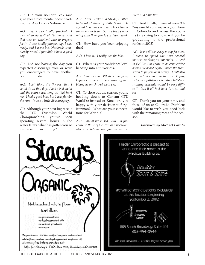CT: Did your Boulder Peak race give you a nice mental boost heading into Age Group Nationals?

AG: *Yes, I was totally psyched. I wanted to do well at Nationals, and that was an excellent race to prepare for it. I was totally pumped up, I was ready, and I went into Nationals completely rested; I just didn't have a good day.*

CT: Did not having the day you expected discourage you, or were you encouraged to have another podium finish?

AG: *I felt like I did the best that I could do on that day. I had a bad swim and the course was long, so that hurt me. I had a good bike, but I was flat for the run. It was a little discouraging.*

CT: Although your next big race is the ITU Duathlon World Championships, you've been spending several hours in the water lately, what has gotten you so immersed in swimming?

AG: *After Stroke and Stride, I talked to Grant Hollicky of Rally Sport. He offered to let me swim with his 13-andunder junior team. So I've been swimming with them five to six days a week.* 

CT: How have you been enjoying that?

AG: *I love it. I really like the kids.*

CT: Where is your confidence level heading into Du' World's?

AG: *I don't know. Whatever happens, happens. I haven't been running and biking as much, but we'll see.*

CT: To close out the season, you're heading down to Cancun (ITU World's) instead of Kona, are you happy with your decision to forgo Ironman? What are your expectations for World's?

AG: *Part of me is sad. But I'm just going to think of Cancun as a vacation. My expectations are just to go out*

#### *there and have fun.*

CT: And finally, many of your 30- 34-year-old counterparts (both here in Colorado and across the country) are dying to know: will you be graduating to the professional ranks in 2003?

AG: *It is still too early to say for sure. I want to spend the next several months working on my swim. I need to feel like I'm going to be competitive across the board before I make the transition to professional racing. I will also need to find more time to train. Trying to blend a full-time job with a full-time training schedule would be very difficult. You'll all just have to wait and see…* 

CT: Thank you for your time, and those of us at Colorado Triathlete would like to wish you good luck with the remaining races of the season.

*Interview by Michael Lovato*

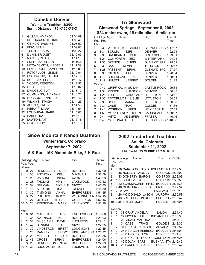| <b>Danskin Denver</b><br>Women's Triathlon 8/2/02<br>Sprint Distance (.75 K/ 20K/ 5K)                                                                                                                                                                                                                                                                                                                                                                                                                                                                                                                                     |                                                                                                                                                                                                                                                                                                                                                                                                                                                                                           | <b>Tri Glenwood</b><br>Glenwood Springs, September 8, 2002<br>824 meter swim, 15 mile bike, 5 mile run                                                                                                                                                                                                                                                                                                 |                                                                                                                                                                                                                                                                                                                                          |                                                                                                                                          |  |  |  |
|---------------------------------------------------------------------------------------------------------------------------------------------------------------------------------------------------------------------------------------------------------------------------------------------------------------------------------------------------------------------------------------------------------------------------------------------------------------------------------------------------------------------------------------------------------------------------------------------------------------------------|-------------------------------------------------------------------------------------------------------------------------------------------------------------------------------------------------------------------------------------------------------------------------------------------------------------------------------------------------------------------------------------------------------------------------------------------------------------------------------------------|--------------------------------------------------------------------------------------------------------------------------------------------------------------------------------------------------------------------------------------------------------------------------------------------------------------------------------------------------------------------------------------------------------|------------------------------------------------------------------------------------------------------------------------------------------------------------------------------------------------------------------------------------------------------------------------------------------------------------------------------------------|------------------------------------------------------------------------------------------------------------------------------------------|--|--|--|
| GILLAM, AMANDA<br>1<br>$\overline{c}$<br>MELLIAR-SMITH, KAREN<br>3<br>OEINCK, JASMINE<br>4<br>FISK, BETH<br>5<br>TURTLE, SARA<br>6<br>DUNN, BRIDGET<br>7<br>NICKEL, PAULA<br>8<br>SMITH, KATHLEEN<br>9<br>MCCAY-SMITH, KIRSTEN<br>10 ELMENDORF, CAMERON<br>FOTOPULOS, LESLIE<br>11<br>12 LOCKWOOD, JACQUI<br>13 KOPECKY, ELYSE<br>14 YODER, REBECCA<br>15 HUCK, ERIN<br>D'ANGELO, KAT<br>16<br>17 CUMMINGS, JUDYANN<br>18 HOBSON, JENNIFER<br>19 WILKINS, STACIA<br>20 ALFINO, KATHY                                                                                                                                      | 01:04:09<br>OAII Age Age<br>01:05:40<br>Pos. Pos.<br>01:08:59<br>Men<br>01:09:03<br>$\mathbf{1}$<br>01:09:27<br>$\overline{2}$<br>01:10:03<br>3<br>01:11:13<br>4<br>01:11:31<br>5<br>01:11:59<br>6<br>2 39 BAX<br>01:12:00<br>$\overline{7}$<br>01:12:04<br>8<br>01:12:15<br>9<br>01:12:47<br>10 2 42 HULETT<br>01:12:57<br>Women<br>01:13:02<br>$\mathbf{1}$<br>01:13:19<br>$\overline{2}$<br>01:13:22<br>3<br>01:13:42<br>4<br>01:14:25<br>5<br>2 38 HOPP<br>01:14:53<br>6<br>2 34 CASE | Name<br>0 39 WERTHEIM<br>134 BOUMA<br><b>DIRK</b><br>2 33 HACKBARTH<br>PHIL<br>1 24 CONFORTH<br><b>JED</b><br>1 35 SPENCE<br><b>CHRIS</b><br><b>KEVIN</b><br>1 28 PASSENTI<br><b>BRIAN</b><br>3 36 GIESEN<br><b>TIM</b><br>1 40 BREEDLOVE<br>LUKE<br><b>JEFFREY</b><br>047 GRIFF-KALIKI SUSAN<br>1 34 PRINCE<br><b>SHANNON</b><br>1 28 TURTLE<br>1 35 FOTOPULOS LISLIE<br><b>MARIA</b><br><b>TRACI</b> | City<br>CHARLIE GLENW'D SPG 1:17:27<br><b>DENVER</b><br><b>COLO SPGS</b><br>WINTERPARK 1:24:21<br>GLENW'D SPR 1:25:51<br><b>THORTON</b><br><b>GLENW'D SPG 1:27:57</b><br><b>DENVER</b><br>DENVER<br><b>GOLDEN</b><br>CASTLE ROCK 1:29:31<br><b>DENVER</b><br>CAROLANN LITTLETON<br><b>LITTLETON</b><br><b>LITTLETON</b><br><b>GOLDEN</b> | Overall<br>Time<br>1:22:01<br>1:23:51<br>1:26:47<br>1:28:54<br>1:30:34<br>1:31:23<br>1:30:35<br>1:33:12<br>1:34:53<br>1:36:50<br>1:37:35 |  |  |  |
| 21 PIERATT, MARY<br>22 LOUGHRAN, BARB<br>23 BAKER, KATIE<br>24 LAWTON, AMY<br>25 COX, CINDY                                                                                                                                                                                                                                                                                                                                                                                                                                                                                                                               | 01:14:54<br>$\overline{7}$<br>01:15:03<br>8<br>01:15:16<br>9<br>241 METZ<br>01:15:16<br>01:15:18                                                                                                                                                                                                                                                                                                                                                                                          | 141 VOSBECK<br><b>HEIDI</b><br>1 50 MC QUEENEY HELEN<br><b>JENNIFER</b><br>10 3 40 MC DONALD<br><b>KAE</b>                                                                                                                                                                                                                                                                                             | NEW CASTLE 1:37:59<br>CARBNDALE<br><b>FRASER</b><br>GLENW'D SPG 1:40:36                                                                                                                                                                                                                                                                  | 1:39:37<br>1:40:16                                                                                                                       |  |  |  |
|                                                                                                                                                                                                                                                                                                                                                                                                                                                                                                                                                                                                                           |                                                                                                                                                                                                                                                                                                                                                                                                                                                                                           | 2002 Tenderfoot Triathlon<br>Salida, Colorado<br><b>September 21, 2002</b><br>.9 MI SWIM / 25 MI BIKE / 6.2 MI RUN                                                                                                                                                                                                                                                                                     |                                                                                                                                                                                                                                                                                                                                          |                                                                                                                                          |  |  |  |
| <b>Snow Mountain Ranch Duathlon</b><br><b>Winter Park, Colorado</b><br>September 7, 2002                                                                                                                                                                                                                                                                                                                                                                                                                                                                                                                                  |                                                                                                                                                                                                                                                                                                                                                                                                                                                                                           |                                                                                                                                                                                                                                                                                                                                                                                                        |                                                                                                                                                                                                                                                                                                                                          |                                                                                                                                          |  |  |  |
| 5 K Run, 15K Mountain Bike, 5 K Run<br>OAII Age Age<br>Name<br>Pos. Pos.<br>Women:<br>027<br>HENNESSEY MARIA<br>1<br>2<br>33<br>$\mathbf{1}$<br><b>ANTHONY</b><br>KELLI<br>3<br>$\mathbf{1}$<br>28<br><b>INDIA</b><br><b>WYSONG</b><br>2 2 8<br>4<br><b>THOMAS</b><br><b>AMY</b><br>5<br>2 3 2<br><b>DELMAN</b><br><b>MICHELE</b><br>6<br>$\mathbf{1}$<br>41<br><b>SIEDERS</b><br><b>LISA</b><br>7<br>3<br>30<br>ANNA<br><b>TIMMONS</b><br>3 <sup>1</sup><br>8<br>27<br><b>DARCY</b><br><b>PHILLIPS</b><br>$\overline{4}$<br>27<br><b>ULRICH</b><br>9<br><b>TRINA</b><br>10 <sub>5</sub><br>28<br>PRESECAN<br><b>MARY</b> | City<br>Overall<br>Time<br>1:37:00<br><b>BOULDER</b><br><b>MINTURN</b><br>1:37:59<br><b>AVON</b><br>1:43:23<br><b>LAKEWOOD</b><br>1:43:52<br><b>NIWOT</b><br>1:45:33<br><b>DENVER</b><br>1:45:59<br><b>EVERGREEN</b><br>1:51:55<br>WESTMINSTER 1:52:15<br>1:52:16<br><b>CO SPRINGS</b><br>LAKEWOOD<br>1:53:20                                                                                                                                                                             | OAII Age Age<br>Name<br>Pos. Pos.<br>Men:<br>1<br>0 28 GARCIA CORTINO HIGHLNDS RA 2:12:56<br>1 46 NOLEEN WOODY<br>2<br>3<br>1 43 DOHERTY BARON<br>1 37 SCHOLZ STEVE<br>4<br>1 22 SCHUMACHER PHILL BOULDER 2:24:38<br>5<br>2 46 QUINTERO CISCO<br>6<br>7<br>2 22 JAY LUKE<br>1 26 MC DONALD JASON AURORA 2:30:58<br>8<br>2 43 BROTHERSON ROBER SECURITY 2:35:47<br>9<br>10 2 35 BUTLER JOHN             | City<br>ERIE<br><b>PUEBLO</b>                                                                                                                                                                                                                                                                                                            | <b>OVERALL</b><br>CO SPGS 2:22:02<br>CO SPGS 2:22:08<br>CO SPGS 2:22:56<br>2:29:37<br>LAKEWOOD 2:30:10<br>2:38:06                        |  |  |  |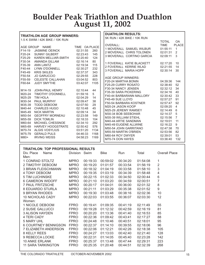# **Boulder Peak Triathlon and Duathlon August 11, 2002**

| <b>TRIATHLON AGE GROUP WINNERS:</b> |                                                    |                            |          |                      |             |                             | <b>DUATHLON RESULTS:</b>  |                           |                         |                     |
|-------------------------------------|----------------------------------------------------|----------------------------|----------|----------------------|-------------|-----------------------------|---------------------------|---------------------------|-------------------------|---------------------|
| 1.5 K SWIM / 42K BIKE / 10K RUN     |                                                    |                            |          |                      |             | 5K RUN / 42K BIKE / 10K RUN |                           |                           |                         |                     |
|                                     |                                                    |                            |          |                      |             |                             |                           | <b>TOTAL</b>              | OA                      |                     |
|                                     | AGE GROUP NAME                                     |                            |          | TIME OA PLACE        |             | <b>OVERALL:</b>             |                           |                           | <b>TIME</b>             | <b>PLACE</b>        |
| F14-19                              | <b>JASMINE OEINCK</b>                              |                            | 02:31:55 | 260                  |             |                             | 1 MOVERALL SAMUEL WILBUR  |                           | 01:55:11                | $\overline{1}$<br>2 |
| F20-24                              | SUNNY GILBERT                                      |                            | 02:23:43 | 145                  |             |                             | 2 MOVERALL CHRIS TOLONEN  |                           | 02:01:31                | 3                   |
| F25-29                              | KAREN MELLIAR-SMITH                                |                            | 02:20:40 | 124                  |             |                             |                           | 3 MOVERALL CORTINO GARCIA | 02:09:11                |                     |
| F30-34                              | <b>AMANDA GILLAM</b>                               |                            | 02:16:14 | 80                   |             |                             | 1 FOVERALL KATIE BLACKETT |                           |                         | 10                  |
| F35-39                              | <b>ANN LANTZ</b>                                   |                            | 02:19:34 | 115                  |             |                             | 2 FOVERALL KERRIE WLAD    |                           | 02:17:20                | 14                  |
| F40-44                              | LYNN O'DONNELL                                     |                            | 02:30:27 | 232                  |             |                             | 3 FOVERALL MARIA HOPP     |                           | 02:21:55<br>02:30:14    | 30                  |
| F45-49                              | <b>KRIS SKILES</b>                                 |                            | 02:37:37 | 343                  |             |                             |                           |                           |                         |                     |
| F50-54                              | <b>JO GARUCCIO</b>                                 |                            | 02:29:55 | 228                  |             |                             | <b>AGE GROUP WINNERS:</b> |                           |                         |                     |
| F55-59                              | <b>CELESTE CALLAHAN</b>                            |                            | 03:04:52 | 803                  |             |                             | F20-24 MARTHA BONIN       |                           | 04:39:36                | 144                 |
| F60-64                              | JUDY SMYTHE                                        |                            | 03:42:07 | 1105                 |             |                             | F25-29 CURRY ROSATO       |                           | 02:38:40                | 52                  |
|                                     |                                                    |                            |          |                      |             |                             | F30-34 NANCY JENSEN       |                           | 02:32:12                | 34                  |
| M14-19                              | JOHN-PAUL HENRY                                    |                            | 02:10:44 | 44                   |             |                             | F35-39 SARA PICKERING     |                           | 02:34:16                | 40                  |
| M20-24                              | TIMOTHY O'DONNELL                                  |                            | 01:59:16 | 5                    |             |                             | F40-44 BARBARANN MALLORY  |                           | 02:30:42                | 33                  |
| M25-29                              | <b>TIM HOLA</b>                                    |                            | 02:04:29 | 14                   |             |                             | F45-49 SUE LLOYD          |                           | 02:57:27                | 91                  |
| M30-34                              | PAUL MURPHY                                        |                            | 02:09:47 | 38                   |             |                             | F50-54 BARBARA KOSTNER    |                           | 02:57:47                | 92                  |
| M35-39                              | TODD DEBOOM                                        |                            | 02:07:50 | 29                   |             |                             | M20-24 JASON KOOP         |                           | 02:09:20                | $\overline{4}$      |
| M40-44                              | <b>CHARLES HUGO</b>                                |                            | 02:10:48 | 45                   |             |                             | M25-29 JEREMY RAMSEY      |                           | 02:14:49                | 6                   |
| M45-49                              | <b>NICK MARTIN</b>                                 |                            | 02:09:14 | 34                   |             |                             | M30-34 BOB SEEBOHAR       |                           | 02:14:37                | 5                   |
| M50-54                              | <b>GEOFFRY MORNEAU</b>                             |                            | 02:23:58 | 149                  |             |                             | M35-39 WILLIAM STIEHL     |                           | 02:15:56                | $\overline{7}$      |
| M55-59                              | <b>DICK TOMLIN</b>                                 |                            | 02:18:33 | 104                  |             |                             | M40-44 ARTIE SANDMAN      |                           | 02:19:01                | 11                  |
| M60-64                              | MICHAEL CHESSNOE                                   |                            | 02:34:10 | 292                  |             |                             | M45-49 EUGENE ALLWINE     |                           | 02:16:22                | 9                   |
| M65-69                              | <b>HARVEY HOOGSTRATE</b>                           |                            | 02:50:42 | 576                  |             |                             | M50-54 JOHN GARRITANO     |                           | 02:47:38                | 70                  |
| M70-74                              | ALGIS VOSYLIUS                                     |                            | 03:51:20 | 1134                 |             |                             | M55-59 MARTIN O'BRIEN     |                           | 02:53:56                | 82                  |
| M75-79                              | <b>GERALD PULS</b>                                 |                            | 04:46:33 | 1168                 |             |                             | M60-64 ROY DWYER          |                           | 02:39:01                | 53                  |
| M80+                                | <b>IRVING WEISS</b>                                |                            | 04:58:23 | 1169                 |             |                             | M70-74 DON HAYES          |                           | 03:36:40                | 132                 |
|                                     |                                                    |                            |          |                      |             |                             |                           |                           |                         |                     |
|                                     | <b>TRIATHLON: TOP PROFESSIONAL RESULTS</b>         |                            |          |                      |             |                             |                           |                           |                         |                     |
| Div. Place                          | Name                                               | Division Swim              |          |                      |             |                             | Run                       | Total                     |                         |                     |
|                                     |                                                    |                            |          |                      |             |                             |                           |                           |                         |                     |
|                                     |                                                    |                            |          |                      | <b>Bike</b> |                             |                           |                           | <b>Overall Place</b>    |                     |
| Men:                                |                                                    |                            |          |                      |             |                             |                           |                           |                         |                     |
|                                     | 1 CONRAD STOLTZ                                    | <b>MPRO</b>                | 00:19:33 |                      |             | 00:59:02                    | 00:34:20                  | 01:54:08                  | 1                       |                     |
|                                     | 2 TIMOTHY DEBOOM                                   | <b>MPRO</b>                | 00:19:20 |                      |             | 01:01:57                    | 00:33:54                  | 01:56:19                  | $\overline{2}$          |                     |
|                                     | <b>3 BRIAN FLEISCHMANN</b>                         | <b>MPRO</b>                | 00:18:32 |                      |             | 01:04:19                    | 00:33:58                  | 01:58:10                  | 3                       |                     |
|                                     | 4 TONY DEBOOM                                      | <b>MPRO</b>                | 00:19:35 |                      |             | 01:03:19                    | 00:34:39                  | 01:58:48                  | $\overline{\mathbf{4}}$ |                     |
|                                     | <b>5 TIM LUCHINSKE</b>                             | <b>MPRO</b>                | 00:22:15 |                      |             | 01:02:33                    | 00:34:50                  | 02:00:44                  | 6                       |                     |
|                                     | <b>6 CAMERON WIDOFF</b>                            | <b>MPRO</b>                |          |                      |             | 00:21:10 01:03:20           | 00:34:59                  | 02:00:51                  | $\overline{7}$          |                     |
|                                     | 7 PAUL FRITZSCHE                                   | <b>MPRO</b>                |          |                      |             | 00:20:17 01:04:01           | 00:36:00                  | 02:01:32                  |                         |                     |
|                                     |                                                    |                            |          |                      |             |                             |                           |                           | 8                       |                     |
|                                     | <b>8 EDUARDO STURLA</b>                            | <b>MPRO</b>                | 00:21:11 |                      |             | 01:03:29                    | 00:35:38                  | 02:01:52                  | 9                       |                     |
|                                     | 9 BRYAN RHODES                                     | <b>MPRO</b>                |          |                      |             | 00:19:30 01:03:48           | 00:38:16                  | 02:02:36                  | 10                      |                     |
|                                     | <b>10 NICHOLAS CADY</b>                            | <b>MPRO</b>                |          | 00:22:03             |             | 01:03:55                    | 00:36:07                  | 02:03:30                  | 12                      |                     |
| Women:                              |                                                    |                            |          |                      |             |                             |                           |                           |                         |                     |
|                                     | 1 NICOLE DEBOOM                                    | <b>FPRO</b>                | 00:19:41 |                      |             | 01:09:35                    | 00:41:19                  | 02:11:49                  | 55                      |                     |
|                                     | 2 SUSIE GALLUCCI                                   | <b>FPRO</b>                | 00:19:28 |                      |             | 01:12:32                    | 00:42:59                  | 02:16:19                  | 81                      |                     |
|                                     | <b>3 ALISON HAYDEN</b>                             | <b>FPRO</b>                | 00:20:20 |                      |             | 01:13:36                    | 00:41:40                  | 02:16:53                  | 85                      |                     |
|                                     | 4 TERI CADY                                        | <b>FPRO</b>                | 00:22:36 |                      |             | 01:09:42                    | 00:43:41                  | 02:17:27                  | 88                      |                     |
|                                     | <b>5 MARY UHL</b>                                  | <b>FPRO</b>                |          | 00:24:48             |             | 01:10:46                    | 00:40:51                  | 02:18:01                  | 95                      |                     |
|                                     | 6 COURTNEY BENNIGSON FPRO                          |                            |          | 00:22:37             |             | 01:14:10                    | 00:39:55                  | 02:18:06                  | 96                      |                     |
|                                     | 7 ELIZABETH ANDERSON                               | <b>FPRO</b>                | 00:22:06 |                      |             | 01:12:21                    | 00:42:26                  | 02:18:38                  | 105                     |                     |
|                                     | 8 KELLY REES                                       | <b>FPRO</b>                |          | 00:24:27             |             | 01:13:03                    | 00:42:40                  | 02:21:40                  | 128                     |                     |
|                                     | 9 REBECCA LOCKE                                    | <b>FPRO</b>                | 00:22:31 |                      |             | 01:14:05                    | 00:45:40                  | 02:23:28                  | 142                     |                     |
|                                     | <b>10 ANKE ERLANK</b><br><b>11 SARA TARKINGTON</b> | <b>FPRO</b><br><b>FPRO</b> |          | 00:25:37<br>00:25:35 |             | 01:13:48<br>01:20:48        | 00:47:44<br>00:44:51      | 02:29:31<br>02:32:39      | 223<br>268              |                     |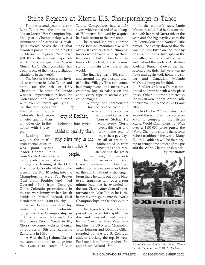## Stoltz Repeats at Xterra U.S. Championships in Tahoe

For the second year in a row Lake Tahoe was the site of the Nissan Xterra USA Championship. This year's Championship was a culmination of a series of 31 qualifying events across the US that awarded points to the top athletes in Xterra's 8 regions. With over \$80,000 on the line and major network TV coverage, the Nissan Xterra USA Championship has become one of the most prestigious triathlons in the world.

The best of the best were invited to compete in Lake Tahoe and battle for the title of USA Champion. The state of Colorado was well represented in both the professional and amateur races with over 20 racers qualifying

The

nation with 9

people.

for this prestigious event. The city of Boulder, Colorado had more athletes qualify than any other city in the nation with 9 people. athletes qualify than

Leading the way in the men's professional division was point series leader Conrad Stoltz any other city in the

from South Africa who is living part-time in Colorado Springs and training at the OTC.

Two other Colorado athletes who were in the Top 10 going into the Championship were Pat Brown (5th) from Boulder and Ned Overend (9th) from Durango. Other Colorado professionals in the race were Jimmy Archer, Josiah Middaugh, Mason Rickard, Neal Henderson, and Grant Holicky.

Anke Erlank was the top ranked female from Colorado going into the Championship in 3rd, she was followed by Evergreen's Kerstin Weule in 4th, Xterra newcomer Melissa Thomas of Boulder in 5th and Katherine Zambrana in 10th.

At 9 am the Big Kahuna blasted the cannon and athletes dove into the crystal-clear waters of Lake

Tahoe. Competitors had a 1.5k swim which consisted of two loops of 750-meters followed by a quick half-mile sprint to the transition.

The second leg was a grand single-loop 32k mountain bike with over 2500 vertical feet of climbing. Racers were treated with spectacular views of Lake Tahoe from the famous Flume trail, one of the most scenic mountain bike trails in the world.

The final leg was a 10k run in and around the picturesque town of Incline Village. This run course had many twists and turns, river crossings, logs to balance on and about every type of obstacle you could imagine.

Winning the Championship for the second year in a row and the accompanying point series was Conrad Stoltz. He city of Boulder, Colorado had more

won every Xterra event this year and took home one of the richest pay days in all of triathlon. Stoltz stood in front almost the entire race. After exiting the water

in third, 20 seconds behind American Kerry Classen, he chased him down two

miles into the bike course and started the climb without a challenger. From there he came out of the biketo-run transition with over a four minute lead that he extended on the run. Clearly after Conrad's performance in Lake Tahoe, he is the heavy favorite going into the World Championships on October 27th in Maui.

The legendary Ned Overend posted the fastest bike split of the day and finished third overall behind Canadian Mike Vine making him the US Xterra Champion. Tyler Johnson and Dominic Gillen rounded out the top 5. Colorado athletes cracking the top 20 were, Pat Brown 11th, Jimmy Archer 13th and Mason Rickard 18th.

In the women's race, Jamie Whitmore solidified her dream season with her third Xterra title of the year and the big payday with the Pro Points Series and National Title payoff. She clearly showed that she was the best biker on the tour by posting the fastest bike split of the day after coming out of the water well behind the leaders. Australian Raeleigh Tennant showed that her second place finish last year was no fluke and again took home the silver and Canadian Melanie McQuaid hung on for third.

Boulder's Melissa Thomas continued to impress with a 5th place finish. Other Colorado athletes in the top 10 were, Kerry Barnholt 6th, Kerstin Weule 7th and Anke Erlank 10th.

On October 27th athletes from around the world will converge on Maui to compete in the Nissan Xterra World Championship. With over a \$105,000 prize purse, the World Championship is the second richest triathlon in the world. Many Colorado athletes will be there trying to bring home a piece of the pie and the World Championship title. *by Pat Brown*



*Above: Conrad Stoltz (file photo, Xterra World Championship 2001; McFarland)*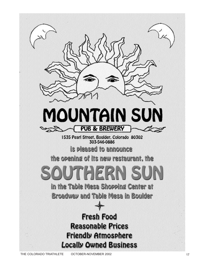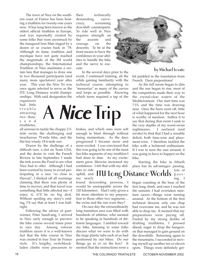The town of Nice on the southern coast of France has been hosting a triathlon for twenty-one years now. It has long been known as the oldest official triathlon in Europe, and was reportedly created by some folks that were awestruck by the inaugural Iron Man staged by a dozen or so crazies back in '78. Although its fame, tradition and mystique have not quite reached the magnitude of the IM world championships, the International Triathlon of Nice maintains a certain lure that manages to draw one to two thousand participants (and many more spectators) year after year. This year the Nice Tri was once again selected to serve as the ITU Long Distance world championships. With said designation the

organizers had little trouble attracting two thousand triathletes,

all anxious to tackle the choppy 2.5 mile swim, the challenging and treacherous 75-mile bike, and the flat but windy 18.6-mile run.

Drawn by the challenge of a difficult race, a slot on Team USA, and the desire to visit the French Riviera in late September, I made the trek across the Pond to see what Nice had to offer. Although I had been warned by many to avoid participating in a race "so close to Hawaii", I shirked off all warnings claiming that there was plenty of time to recover, and that travel was something that little affected me—I enjoy it, it'll be no big deal. Without spoiling my story's ending, I'll say that at least I was halfright.

Following the advice of pastwinner, Peter Sandvang, I arrived in Nice early enough to preview the bike course several times prior to race day. Among veteran triathlon racers it is a well-known fact that the bike course in Nice was created in true Tour de France style. It's lengthy, switchbackladen climbs were precursors to

their technically demanding, curvecrazy, screaming downhill counterparts. To ride well in Nice requires strength on the ascents and courage on the descents. To be at the front means to have the confidence in your abilities to handle the bike and the nerve to execute.

In the several days prior to the event, I continued training, all the while gaining familiarity with the technical course; attempting to "memorize" as many of the curves and loops as possible. Knowing which turns required a tap of the



uphill, and my newly

enough to blast through without losing momentum. As the days progressed I became more and more excited. I was convinced that this was going to be one of the most fun bike segments of any triathlon I had done to date. As my excitement grew, likewise increased my confidence. I felt that with my abilities to ride



found descending prowess, I would be unstoppable across the 120 kilometers. Had I only given a bit more attention to my preparation to those other two segments… the swim and the run were they?

On race day the extraordinarily long transition area was filled with hundreds of athletes, who seemed to be speaking in hundreds of different languages. I ambled toward my bike, listening to some folks discuss what we were to do with the large plastic tubs each of us had positioned by our bikes. Do our things go in or on the box? It seemed that the instructions were a



#### **by Michael Lovato**

bit jumbled in the translation from French. Darn prepositions!

As the full moon began to dim and the sun began to rise, most of the competitors made their way to the crystal-clear waters of the Mediterranean. Our start time was 7:15, and the time was drawing near. Once the horn went off, little of what happened for the next hour is worthy of mention. Suffice it to say that during that swim I sank to the very depths of my worst-swim nightmares. I surfaced (and awoke) to find that I had a sizeable deficit, both time-wise and placement-wise. I therefore tackled the bike with a bolstered enthusiasm. If I was to turn the race around, it was going to have to happen on the bike.

Starting the bike in fiftieth place has its advantages: passing,

> lots of passing. I

began counting at the base of the first long climb, and once I reached the summit, I had overtaken nineteen racers—things were turning around. At the bottom of the first technical descent, only one chap had overcome me, and he was not able to drop me. It seemed that my preparations were paying off. Fueled by my strong dislike of drafting triathletes, I pressed ahead, eager to drop the hangerson that managed to gain ground on the downhills. Returning again to the mountains, I succeeded in moving myself up another ten or eleven spots. Things were definitely get-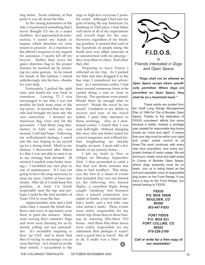ting better. Swim schmim, at that point it was all about the bike.

In the closing kilometers of the ride, I experienced something that I never thought I'd see in a major triathlon. As I approached an intersection, I raised my hands to inquire which direction we were meant to proceed. As a reaction to the official's response to my request for assistance, I nearly fell off my bicycle. Rather than wave his green direction flag in the proper manner, he mocked me by returning my same gesture. As he raised his hands in like fashion, I stared unbelievingly into his face—thanks for your help.

Fortunately, I picked the right turn, and found my way back to transition. Leaving T2 I was encouraged to see that I was not terribly far back from some of the top racers. It seemed that my bike ride had brought me back into the race somewhat. I donned my American flag visor and hit the pavement. I had thirty long kilometers to fully turn my race around; I still had hope. Following my well-planned strategy, I eased into the run, hoping to set myself up for a strong finish. Much to my dismay, I discovered after fifteen k's that I was not able to turn it on as my strategy had dictated. (It seemed I needed some better strategy.) I modified my race plan to one of maintenance. If I was not going to have the snap necessary to drop my pace, I better at least stay steady. After all, if I could keep this position, at least I'd finish respectably near the top, and perhaps I could be the first member of Team USA to cross the line.

Approximately nine and a half miles later, I neared the finish line. Rows and rows of spectators were there to greet the runners. Many were waving their countries' flags and most were cheering for us by merely yelling out our nationalities. It's incredibly inspiring to hear "go USA" and to know that they're trying to encourage you to cross that line. As I closed in on the final stretch, I succumbed to the

urge to high-five everyone I possibly could. Although I had met my goal of being the top American, by finishing in 33rd place, I had fallen well short of all of my expectations and overall hope for the race. However, regardless of my finishing position, it seemed that each of the hundreds of people lining the finish area was either unaware of or unconcerned with my placing they were there to cheer. And cheer they did.

Preparing to leave France I reflected on my trip. As I packed my bike and later dragged it to the bus stop, I considered my adventure. As I mentioned earlier, I had been warned numerous times to be careful doing a race so close to Hawaii. The questions were posed: Would there be enough time to recover? Would the travel be too much? Confident in my ability to recover and sure of my travel habits, I paid little attention to those warnings. Also as I mentioned earlier, I found that I was only half-right. Without changing this story into one better suited for a travel magazine, and without further lengthening an already lengthy account, I must add a few details of my journey home…

I left my hotel in Nice at 2:00pm on Monday, September 23rd. I then proceeded to catch a bus that was thirty minutes late (due to bad weather). This delay was the first in a chain of events that included (but was not limited to) the following: two missed flights, a cancelled flight, being caught "sneaking" into business class, a missed connection, two nights in hotels, a lost suitcase (airline's fault), and a lost bike case (also airline's fault). These events were solely responsible for my return trip (from door to door) lasting an amazing fifty-three (53) hours. And those fifty-three hours were solely responsible for my admission that perhaps it wasn't such a good idea to travel. But all in all, it really was a Nice trip.



*"Dogs shall not be allowed on Open Space except where specifically permitted. Where dogs are permitted on Open Space, they shall be on a hand-held leash."*

These words are quoted from the Draft Long Range Management Plan of 1994 for City of Boulder Open Space. Thanks to the dedication of FIDOS volunteers' efforts this never became a reality. Instead a privilege was created for responsible dog lovers known as "voice and sight". It means that your dog must be within your sight and under verbal control at all times.The work continues with every new land acquisition, and every proposed change of visitor usage. We are striving to create voice and sight areas in County of Boulder Open Space, where dogs presently must be on leash. Join us in being heard as the civil and equitable voice of responsible dog lovers on the Front Range. If you have a dog on the Front Range, you should belong to FIDOS.

> **FIDOS P.O. BOX 18928 BOULDER, CO 80308 303-447-FIDO**

**FORT FIDOS P.O. BOX 821 FORT COLLINS, CO 80522 970-226-2100**

*Call or write for a free copy of* ❂ *our newsletter!*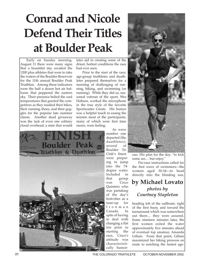# **Conrad and Nicole Defend Their Titles at Boulder Peak**

Early on Sunday morning, August 11 there were many signs that a beautiful day awaited the 1200 plus athletes that were to take the waters of the Boulder Reservoir for the 11th annual Boulder Peak Triathlon. Among these indicators were the half a dozen hot air balloons that peppered the eastern sky. Their presence belied the cool temperatures that greeted the competitors as they readied their bikes, their running shoes, and their goggles for the popular late summer classic. Another dead giveaway was the lack of even one solitary cloud overhead; a state that would

later aid in creating some of the driest, hottest conditions the race had ever seen.

Prior to the start of the race, age-group triathletes and duathletes prepared themselves for a morning of challenging of running, biking, and swimming (or running). While they did so, seasoned veteran of the sport, Wes Hobson, worked the microphone in the true style of the favorite Sportscaster Greats. His humor was a helpful touch in easing the tension most of the participants, many of which were first time racers, were feeling.



As wave number one departed (the duathletes), several of Boulder Tri Club's finest were preparing to jump into the 74 degree water. Included in that group was Cisco Quintero who was partaking of the day's festivities as a tune-up for Ironman Canada. In spite of having to deal with changing a flat tire prior to starting the race, Cisco's attitude was characteristically humor-



ous. His plan for the day: "to kick some ass… but enjoy."

Pre-race instructions called for the first wave of swimmers—the women aged 30-34—to head directly into the blinding sun,

## **by Michael Lovato** *photos by Courtney Stapleton*

heading left of the sailboats, right of the first buoy, and toward the turnaround which was somewhere out there… they were assured. Some nineteen minutes later, the first women exited the water approximately five minutes ahead of eventual top amateur, Amanda Gillam. From that point, Gillam maximized her biking prowess en route to notching the fastest age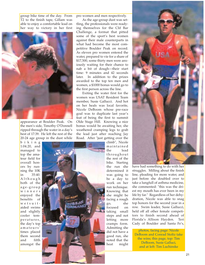group bike time of the day. From T2 to the finish tape, Gillam was able to enjoy a comfortable lead on her way to victory in her first



appearance at Boulder Peak. On the men's side, Timothy O'Donnell ripped through the water in a day's best of 17:39. He left the rest of the 20-24 age group in the dust while

biking 1:04.20, and managed to top the amateur field for overall honors by running the 10K in 35:40. Although both of the age-group winners enjoyed the benefits of wetsuitaided swims and slightly cooler temperatures, the day's top amateurs' times placed them second and fifth amongst the pro women and men respectively.

As the age-group dust was settling, the professionals were readying themselves for the Clif Bar Challenge, a format that pitted some of the sport's best women against their male counterparts in what had become the most competitive Boulder Peak on record. As eleven pro women entered the water, prepared to vie for a share of \$17,500, some thirty men were anxiously waiting for their chance to nab a bit of dough—their start time: 9 minutes and 42 seconds later. In addition to the prizes awarded to the top ten men and women, a \$1000 bonus would go to the first person across the line.

Exiting the water first for the women was USAT Resident Team member, Susie Gallucci. And hot on her heals was local favorite, Nicole DeBoom whose pre-race goal was to duplicate last year's feat of being the first to summit Olde Stage Hill. Knowing a nice bonus would be awaiting her, she weathered cramping legs to grab the lead just after reaching Jay Road. After "just getting over the

> climb", Nicole maintained the lead throughout the rest of the bike. Starting the run she determined it was going to be a day to work on her run technique. Knowing that she might be facing a rough go, she focused on taking small steps and not letting more cramps form. Admitting she did not have a good run, she noted that the heat might



have had something to do with her struggles. Milling about the finish line, pleading for more water, and just before she doubled over to take a lungfull of asthma medicine, she commented: "this was the driest my mouth has ever been in my life by far." Regardless of her dehydration, Nicole was able to snag top honors for the second year in a row. Swim leader, Susie Gallucci, held off all other female competitors to finish second ahead of Florida's Allison Hayden. Teri Cady of Boulder and Santa Fe's,

photos, facing page: Nicole DeBoom and Conrad Stoltz take the wins; this page, top: Tim DeBoom, Susie Galluci, and at left: Tim Luchinske

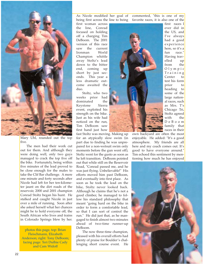

Mary Uhl, rounded out the top five.

The men had their work cut out for them. And although they were doing well, only two guys managed to crack the top five off the bike. Fortunately, being within five minutes of the lead proved to be close enough for the males to take the Clif Bar challenge. A mere one minute and forty seconds after Nicole had left for her ten-kilometer jaunt on the dirt roads of the reservoir, 2000 and 2001 champion Conrad Stoltz began his hunt. He stalked and caught Nicole in just over a mile of running. Soon after she asked herself what her chances might be to hold everyone off, the South African who lives and trains in Colorado Springs blew by her.

photos this page, top: Brian Fleischmann, Elizabeth Anderson; right: Tony DeBoom; facing page: Teri Duthie Cady and Cam Widoff

As Nicole modified her goal of being first across the line to being

first woman across the line, Conrad focused on holding off a charging Tim DeBoom. The 2001 version of this race saw the current Ironman World Champion whittle away Stoltz's lead down to the bitter end, coming up short by just seconds. This year a less dramatic outcome awaited the duo.

Stoltz, who two weeks prior had dominated the Keystone Xterra event, exploited his strength on the bike. Just as his wife had noticed on the run, Tim DeBoom saw first hand just how

fast Stoltz was moving. Making up for an atypically slow swim (in part due to finding he was unprepared for a non-wetsuit swim only moments before the gun went off), Stoltz went for the gusto as soon as he left transition. DeBoom pointed out that while still on the Reservoir Road, "Conrad passed me, and he was just flying. Unbelievable!" His efforts moved him past DeBoom, and eventually into first place. As soon as he took the lead on the bike, Stoltz never looked back. Although he claims that he's not a good climber, he managed to follow his standard philosophy that meant "going hard on the bike in order to form a comfortable lead, so that I can sort of control the run." He did just that, as he mangaged to finish almost two minutes ahead of two-time runner-up DeBoom.

The now three-time champion, pleased with his overall efforts had plenty of praise for Boulder's challenging short course event. He

commented, "this is one of my favorite races, it is also one of the



first races I ever did in the US, and I've always had a good experience here, so it's a fun race." Having travelled up from the Olympic Training Center to test his form prior to heading to some of the large national races, such as Mrs. T's Chicago Tri, Stoltz agreed with the DeBoom family that races in their

own backyard are often the most enjoyable. He added: "It's a good atmosphere. My friends are all here and my coach comes out. It's good to have everyone around." Tim echoed this sentiment by mentioning how much he has enjoyed

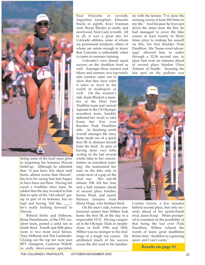

doing some of the local races prior to beginning his Ironman Hawaii build-up. Although he admitted that "it just hurt; this short stuff hurts, almost worse than Hawaii", his love for racing had him happy to have been out there. Having not raced a triathlon since June, he added that the day revealed to him that in spite of his "old school" getup (a pair of tri bottoms, but no top) and having "felt like \_\_\_\_", he's really looking forward to Hawaii.

Behind Stoltz and DeBoom, Brian Fleischmann, of the OTC resident team, posted a solid run to finish third. Fourth and fifth place went to two more local heroes, Tony DeBoom and Tim Luchinske. Closing out the top ten were past BPT champion, Cameron Widoff, in sixth; short-course specialist,

Paul Fritzsche in seventh; Argentine transplant, Eduardo Sturla in eighth; Kiwi Ironman stud, Bryan Rhodes in ninth; and newlywed, Nick Cady in tenth. All in all, it was a great day for Colorado athletes, some of whom are permanent residents, others of whom are astute enough to know that Colorado is unbeatable when it comes to summer training.

Colorado's own shared equal success on the duathlon front as well. Amongst these runners and bikers and runners, two top-notch,

elite runners came out to show that they have what it takes to excel in the world of multisport as well. On the women's side, Kaite Blackett a member of the Fleet Feet Triathlon team and current aspirant to the US Olympic marathon team, handily defeated her rivals to take home her first ever Boulder Peak Duathlon title. In finishing tenth overall amongst the men, Katie made use of a quick first 5K to distance herself from the field. In spite of having done very little cycling in the last several weeks (due to her concentration on marathon training), she maintained her lead on the bike only to create more of a gap on the<br>final run. Her sub-40 Her sub-40 minute 10K left her four and a half minutes ahead of second place finisher, Kerrie Wlad, and nearly thirteen minutes from Maria Hopp, who finished third.

On the men's side, former professional runner Sam Wilbur took home the first 5K of the day in a respectable 15:15. Having competed in the Olympic Trials in steeplechase in both 1996 and 2000, Wilbur was no stranger to the challenge of a tough run course. He attributed much of his success across the dirt road to his familiar-

ity with the terrain: "I've done the running course at least 200 times in my life." And because he lives just down the street from the Res, he had managed to cover the bike course at least twenty to thirty times prior to making his assault on this, his first Boulder Peak Duathlon. His "home-court advantage" allowed him to suffer through a 32:36 second run, to place him over six minutes ahead of second place finisher Chris Tolonen of Seattle. Securing the last spot on the podium was



Cortino Garcia, a few minutes behind second place, but only seconds ahead of his sprint-finish rival, Jason Koop. When prompted to comment on the possibility of that being the last ever Peak Duathlon, Wilbur echoed the words of many great duathletes before him: "duathlon is a growing sport, and I can't swim."

**Results on page 15**